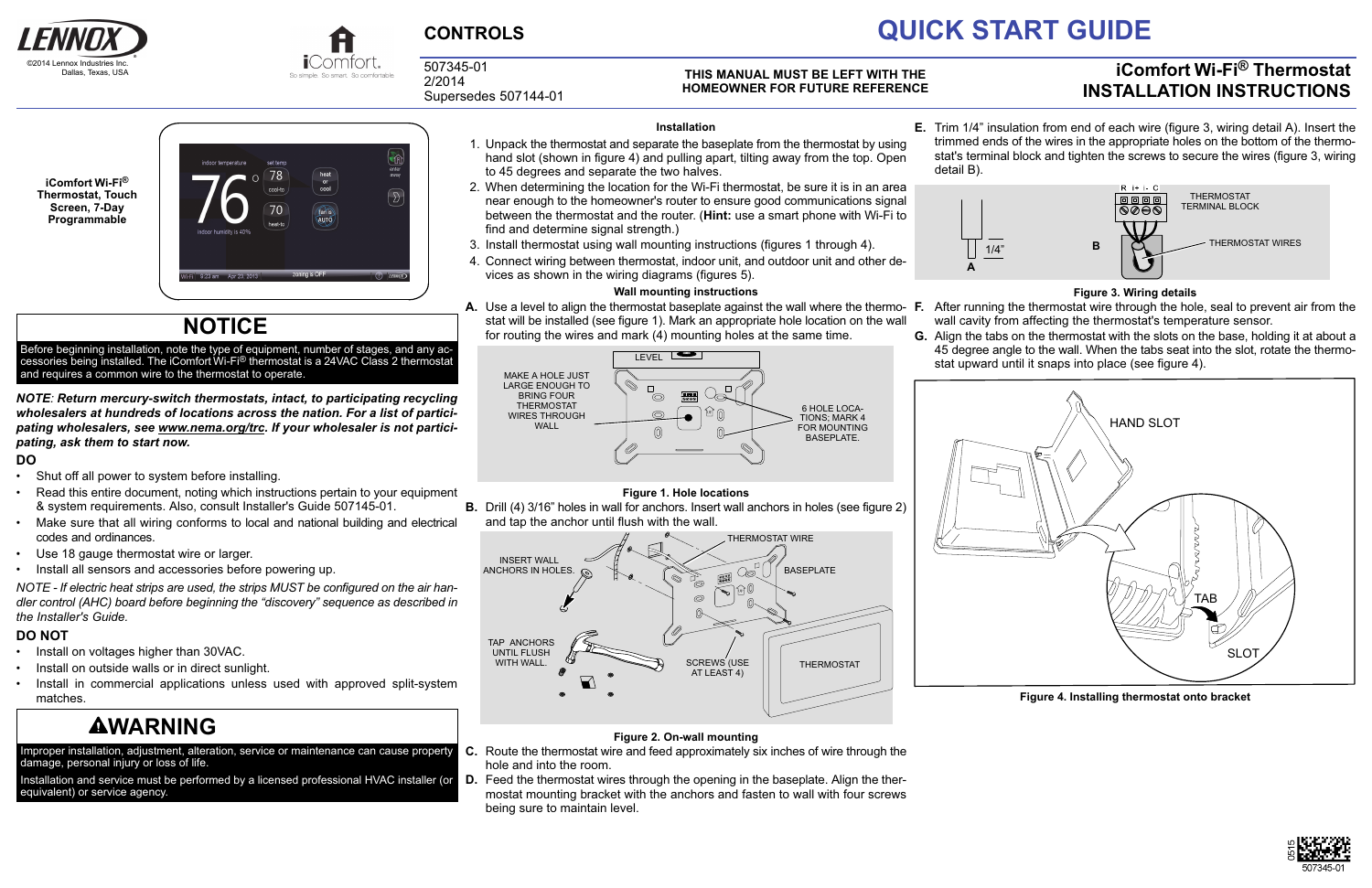



# **CONTROLS QUICK START GUIDE**

507345-01 2/2014 Supersedes 507144-01

### **iComfort Wi‐Fi® Thermostat INSTALLATION INSTRUCTIONS**

#### **THIS MANUAL MUST BE LEFT WITH THE HOMEOWNER FOR FUTURE REFERENCE**



### **NOTICE**

Before beginning installation, note the type of equipment, number of stages, and any accessories being installed. The iComfort Wi-Fi® thermostat is a 24VAC Class 2 thermostat and requires a common wire to the thermostat to operate.

*NOTE: Return mercury‐switch thermostats, intact, to participating recycling wholesalers at hundreds of locations across the nation. For a list of participating wholesalers, see www.nema.org/trc. If your wholesaler is not participating, ask them to start now.*

- Install on voltages higher than 30VAC.
- Install on outside walls or in direct sunlight.
- Install in commercial applications unless used with approved split‐system matches.

## **AWARNING**

#### **DO**

- Shut off all power to system before installing.
- Read this entire document, noting which instructions pertain to your equipment & system requirements. Also, consult Installer's Guide 507145-01.
- Make sure that all wiring conforms to local and national building and electrical codes and ordinances.
- Use 18 gauge thermostat wire or larger.
- Install all sensors and accessories before powering up.

*NOTE - If electric heat strips are used, the strips MUST be configured on the air handler control (AHC) board before beginning the "discovery" sequence as described in the Installer's Guide.*

### **DO NOT**

**A.** Use a level to align the thermostat baseplate against the wall where the thermo- **F.** stat will be installed (see figure 1). Mark an appropriate hole location on the wall for routing the wires and mark (4) mounting holes at the same time.

Improper installation, adjustment, alteration, service or maintenance can cause property damage, personal injury or loss of life.

Installation and service must be performed by a licensed professional HVAC installer (or equivalent) or service agency.

#### **Installation**

- 1. Unpack the thermostat and separate the baseplate from the thermostat by using hand slot (shown in figure 4) and pulling apart, tilting away from the top. Open to 45 degrees and separate the two halves.
- 2. When determining the location for the Wi-Fi thermostat, be sure it is in an area near enough to the homeowner's router to ensure good communications signal between the thermostat and the router. (**Hint:** use a smart phone with Wi-Fi to find and determine signal strength.)
- 3. Install thermostat using wall mounting instructions (figures 1 through 4).
- 4. Connect wiring between thermostat, indoor unit, and outdoor unit and other devices as shown in the wiring diagrams (figures [5\)](#page-1-0).

#### **Wall mounting instructions**



#### **Figure 1. Hole locations**

**B.** Drill (4) 3/16" holes in wall for anchors. Insert wall anchors in holes (see figure 2) and tap the anchor until flush with the wall.



### **Figure 2. On-wall mounting**

- **C.** Route the thermostat wire and feed approximately six inches of wire through the hole and into the room.
- **D.** Feed the thermostat wires through the opening in the baseplate. Align the thermostat mounting bracket with the anchors and fasten to wall with four screws being sure to maintain level.

**E.** Trim 1/4" insulation from end of each wire (figure 3, wiring detail A). Insert the trimmed ends of the wires in the appropriate holes on the bottom of the thermostat's terminal block and tighten the screws to secure the wires (figure 3, wiring

detail B).



- - **A**
	-
- 



#### **Figure 3. Wiring details**

**F.** After running the thermostat wire through the hole, seal to prevent air from the wall cavity from affecting the thermostat's temperature sensor.

**G.** Align the tabs on the thermostat with the slots on the base, holding it at about a 45 degree angle to the wall. When the tabs seat into the slot, rotate the thermostat upward until it snaps into place (see figure 4).



**Figure 4. Installing thermostat onto bracket**